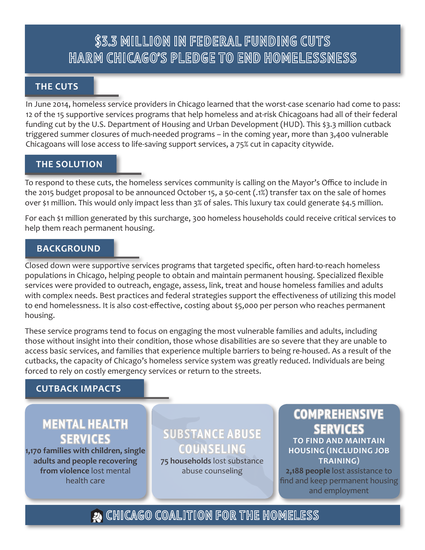# \$3.3 MILLION IN FEDERAL FUNDING CUTS HARM CHICAGO'S PLEDGE TO END HOMELESSNESS

#### **THE CUTS**

In June 2014, homeless service providers in Chicago learned that the worst-case scenario had come to pass: 12 of the 15 supportive services programs that help homeless and at-risk Chicagoans had all of their federal funding cut by the U.S. Department of Housing and Urban Development (HUD). This \$3.3 million cutback triggered summer closures of much-needed programs – in the coming year, more than 3,400 vulnerable Chicagoans will lose access to life-saving support services, a 75% cut in capacity citywide.

### **THE SOLUTION**

To respond to these cuts, the homeless services community is calling on the Mayor's Office to include in the 2015 budget proposal to be announced October 15, a 50-cent (.1%) transfer tax on the sale of homes over \$1 million. This would only impact less than 3% of sales. This luxury tax could generate \$4.5 million.

For each \$1 million generated by this surcharge, 300 homeless households could receive critical services to help them reach permanent housing.

#### **BACKGROUND**

Closed down were supportive services programs that targeted specific, often hard-to-reach homeless populations in Chicago, helping people to obtain and maintain permanent housing. Specialized flexible services were provided to outreach, engage, assess, link, treat and house homeless families and adults with complex needs. Best practices and federal strategies support the effectiveness of utilizing this model to end homelessness. It is also cost-effective, costing about \$5,000 per person who reaches permanent housing.

These service programs tend to focus on engaging the most vulnerable families and adults, including those without insight into their condition, those whose disabilities are so severe that they are unable to access basic services, and families that experience multiple barriers to being re-housed. As a result of the cutbacks, the capacity of Chicago's homeless service system was greatly reduced. Individuals are being forced to rely on costly emergency services or return to the streets.

### **CUTBACK IMPACTS**

### **MENTAL HEALTH SERVICES**

**1,170 families with children, single adults and people recovering from violence** lost mental health care

**SUBSTANCE ABUSE COUNSELING 75 households** lost substance

abuse counseling

## **COMPREHENSIVE SERVICES**

**TO FIND AND MAINTAIN HOUSING (INCLUDING JOB TRAINING)**

**2,188 people** lost assistance to find and keep permanent housing and employment

2 CHICAGO COALITION FOR THE HOMELESS